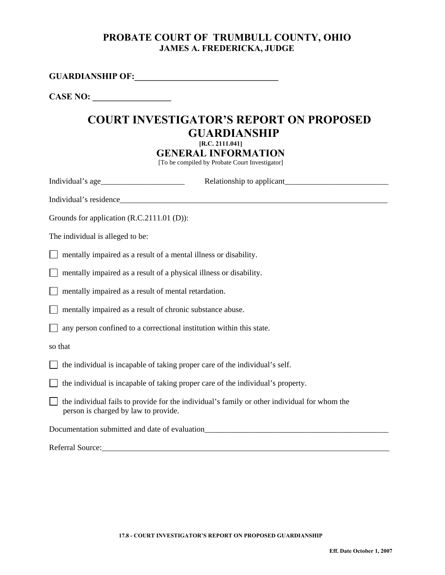### **PROBATE COURT OF TRUMBULL COUNTY, OHIO JAMES A. FREDERICKA, JUDGE**

**GUARDIANSHIP OF:\_\_\_\_\_\_\_\_\_\_\_\_\_\_\_\_\_\_\_\_\_\_\_\_\_\_\_\_\_\_\_\_\_** 

CASE NO:

## **COURT INVESTIGATOR'S REPORT ON PROPOSED GUARDIANSHIP [R.C. 2111.041]**

**GENERAL INFORMATION** 

[To be compiled by Probate Court Investigator]

| Grounds for application (R.C.2111.01 (D)):                                                                                           |  |  |  |
|--------------------------------------------------------------------------------------------------------------------------------------|--|--|--|
| The individual is alleged to be:                                                                                                     |  |  |  |
| mentally impaired as a result of a mental illness or disability.                                                                     |  |  |  |
| mentally impaired as a result of a physical illness or disability.                                                                   |  |  |  |
| mentally impaired as a result of mental retardation.                                                                                 |  |  |  |
| mentally impaired as a result of chronic substance abuse.                                                                            |  |  |  |
| any person confined to a correctional institution within this state.                                                                 |  |  |  |
| so that                                                                                                                              |  |  |  |
| the individual is incapable of taking proper care of the individual's self.                                                          |  |  |  |
| the individual is incapable of taking proper care of the individual's property.                                                      |  |  |  |
| the individual fails to provide for the individual's family or other individual for whom the<br>person is charged by law to provide. |  |  |  |
| Documentation submitted and date of evaluation                                                                                       |  |  |  |
| Referral Source:                                                                                                                     |  |  |  |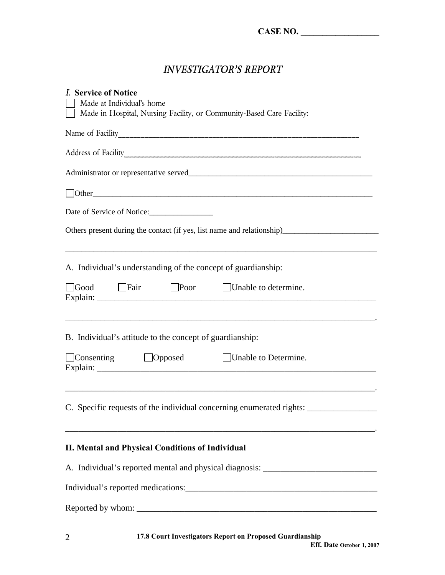## *INVESTIGATOR'S REPORT*

| <i>I.</i> Service of Notice<br>Made at Individual's home<br>Made in Hospital, Nursing Facility, or Community-Based Care Facility:            |  |  |
|----------------------------------------------------------------------------------------------------------------------------------------------|--|--|
|                                                                                                                                              |  |  |
|                                                                                                                                              |  |  |
|                                                                                                                                              |  |  |
|                                                                                                                                              |  |  |
| Date of Service of Notice:                                                                                                                   |  |  |
| Others present during the contact (if yes, list name and relationship)                                                                       |  |  |
| A. Individual's understanding of the concept of guardianship:                                                                                |  |  |
| Good Fair Poor<br>Unable to determine.                                                                                                       |  |  |
| ,我们也不会有什么。""我们的人,我们也不会有什么?""我们的人,我们也不会有什么?""我们的人,我们也不会有什么?""我们的人,我们也不会有什么?""我们的人<br>B. Individual's attitude to the concept of guardianship: |  |  |
| $\Box$ Consenting $\Box$ Opposed<br>Unable to Determine.                                                                                     |  |  |
| C. Specific requests of the individual concerning enumerated rights:                                                                         |  |  |
| II. Mental and Physical Conditions of Individual                                                                                             |  |  |
| A. Individual's reported mental and physical diagnosis: ________________________                                                             |  |  |
|                                                                                                                                              |  |  |
|                                                                                                                                              |  |  |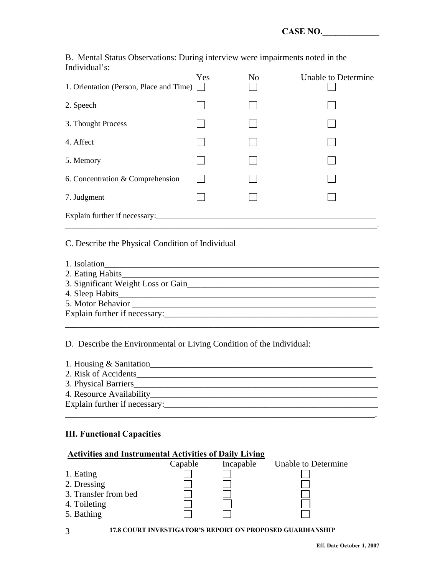B. Mental Status Observations: During interview were impairments noted in the Individual's:

| 1. Orientation (Person, Place and Time) | Yes | N <sub>o</sub> | <b>Unable to Determine</b> |
|-----------------------------------------|-----|----------------|----------------------------|
| 2. Speech                               |     |                |                            |
| 3. Thought Process                      |     |                |                            |
| 4. Affect                               |     |                |                            |
| 5. Memory                               |     |                |                            |
| 6. Concentration & Comprehension        |     |                |                            |
| 7. Judgment                             |     |                |                            |
| Explain further if necessary:           |     |                |                            |

#### C. Describe the Physical Condition of Individual

| 1. Isolation                       |
|------------------------------------|
| 2. Eating Habits 2. Eating Habits  |
| 3. Significant Weight Loss or Gain |
|                                    |
| 5. Motor Behavior                  |
| Explain further if necessary:      |
|                                    |

D. Describe the Environmental or Living Condition of the Individual:

| 1. Housing & Sanitation       |
|-------------------------------|
| 2. Risk of Accidents          |
| 3. Physical Barriers          |
| 4. Resource Availability      |
| Explain further if necessary: |

\_\_\_\_\_\_\_\_\_\_\_\_\_\_\_\_\_\_\_\_\_\_\_\_\_\_\_\_\_\_\_\_\_\_\_\_\_\_\_\_\_\_\_\_\_\_\_\_\_\_\_\_\_\_\_\_\_\_\_\_\_\_\_\_\_\_\_\_\_\_\_.

#### **III. Functional Capacities**

3

| <b>Activities and Instrumental Activities of Daily Living</b> |         |           |                     |
|---------------------------------------------------------------|---------|-----------|---------------------|
|                                                               | Capable | Incapable | Unable to Determine |
| 1. Eating                                                     |         |           |                     |
| 2. Dressing                                                   |         |           |                     |
| 3. Transfer from bed                                          |         |           |                     |
| 4. Toileting                                                  |         |           |                     |
| 5. Bathing                                                    |         |           |                     |
|                                                               |         |           |                     |

**17.8 COURT INVESTIGATOR'S REPORT ON PROPOSED GUARDIANSHIP**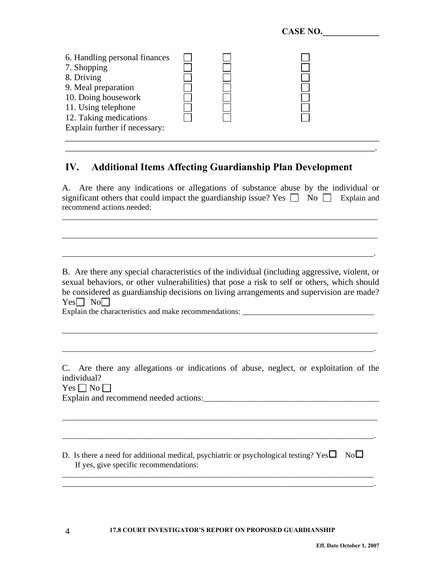|                                                                                                                                                                                            |  | CAQE RU. |  |
|--------------------------------------------------------------------------------------------------------------------------------------------------------------------------------------------|--|----------|--|
| 6. Handling personal finances<br>7. Shopping<br>8. Driving<br>9. Meal preparation<br>10. Doing housework<br>11. Using telephone<br>12. Taking medications<br>Explain further if necessary: |  |          |  |
|                                                                                                                                                                                            |  |          |  |

 $C$   $A$   $C$   $F$   $N$  $A$ 

## **IV. Additional Items Affecting Guardianship Plan Development**

A. Are there any indications or allegations of substance abuse by the individual or significant others that could impact the guardianship issue? Yes  $\Box$  No  $\Box$  Explain and recommend actions needed:

\_\_\_\_\_\_\_\_\_\_\_\_\_\_\_\_\_\_\_\_\_\_\_\_\_\_\_\_\_\_\_\_\_\_\_\_\_\_\_\_\_\_\_\_\_\_\_\_\_\_\_\_\_\_\_\_\_\_\_\_\_\_\_\_\_\_\_\_\_\_\_\_\_\_\_\_\_\_\_

\_\_\_\_\_\_\_\_\_\_\_\_\_\_\_\_\_\_\_\_\_\_\_\_\_\_\_\_\_\_\_\_\_\_\_\_\_\_\_\_\_\_\_\_\_\_\_\_\_\_\_\_\_\_\_\_\_\_\_\_\_\_\_\_\_\_\_\_\_\_\_\_\_\_\_\_\_\_\_

\_\_\_\_\_\_\_\_\_\_\_\_\_\_\_\_\_\_\_\_\_\_\_\_\_\_\_\_\_\_\_\_\_\_\_\_\_\_\_\_\_\_\_\_\_\_\_\_\_\_\_\_\_\_\_\_\_\_\_\_\_\_\_\_\_\_\_\_\_\_\_\_\_\_\_\_\_\_.

\_\_\_\_\_\_\_\_\_\_\_\_\_\_\_\_\_\_\_\_\_\_\_\_\_\_\_\_\_\_\_\_\_\_\_\_\_\_\_\_\_\_\_\_\_\_\_\_\_\_\_\_\_\_\_\_\_\_\_\_\_\_\_\_\_\_\_\_\_\_\_.

B. Are there any special characteristics of the individual (including aggressive, violent, or sexual behaviors, or other vulnerabilities) that pose a risk to self or others, which should be considered as guardianship decisions on living arrangements and supervision are made?  $Yes \Box No \Box$ 

\_\_\_\_\_\_\_\_\_\_\_\_\_\_\_\_\_\_\_\_\_\_\_\_\_\_\_\_\_\_\_\_\_\_\_\_\_\_\_\_\_\_\_\_\_\_\_\_\_\_\_\_\_\_\_\_\_\_\_\_\_\_\_\_\_\_\_\_\_\_\_\_\_\_\_\_\_\_\_

\_\_\_\_\_\_\_\_\_\_\_\_\_\_\_\_\_\_\_\_\_\_\_\_\_\_\_\_\_\_\_\_\_\_\_\_\_\_\_\_\_\_\_\_\_\_\_\_\_\_\_\_\_\_\_\_\_\_\_\_\_\_\_\_\_\_\_\_\_\_\_\_\_\_\_\_\_\_.

Explain the characteristics and make recommendations: \_\_\_\_\_\_\_\_\_\_\_\_\_\_\_\_\_\_\_\_\_\_\_\_\_\_\_\_\_\_\_\_\_

C. Are there any allegations or indications of abuse, neglect, or exploitation of the individual?

\_\_\_\_\_\_\_\_\_\_\_\_\_\_\_\_\_\_\_\_\_\_\_\_\_\_\_\_\_\_\_\_\_\_\_\_\_\_\_\_\_\_\_\_\_\_\_\_\_\_\_\_\_\_\_\_\_\_\_\_\_\_\_\_\_\_\_\_\_\_\_\_\_\_\_\_\_\_\_

\_\_\_\_\_\_\_\_\_\_\_\_\_\_\_\_\_\_\_\_\_\_\_\_\_\_\_\_\_\_\_\_\_\_\_\_\_\_\_\_\_\_\_\_\_\_\_\_\_\_\_\_\_\_\_\_\_\_\_\_\_\_\_\_\_\_\_\_\_\_\_\_\_\_\_\_\_\_.

\_\_\_\_\_\_\_\_\_\_\_\_\_\_\_\_\_\_\_\_\_\_\_\_\_\_\_\_\_\_\_\_\_\_\_\_\_\_\_\_\_\_\_\_\_\_\_\_\_\_\_\_\_\_\_\_\_\_\_\_\_\_\_\_\_\_\_\_\_\_\_\_\_\_\_\_\_\_

 $Yes \Box No \Box$ 

4

Explain and recommend needed actions:\_\_\_\_\_\_\_\_\_\_\_\_\_\_\_\_\_\_\_\_\_\_\_\_\_\_\_\_\_\_\_\_\_\_\_\_\_\_\_\_\_\_\_\_

D. Is there a need for additional medical, psychiatric or psychological testing? Yes  $\square$  No  $\square$ If yes, give specific recommendations:

\_\_\_\_\_\_\_\_\_\_\_\_\_\_\_\_\_\_\_\_\_\_\_\_\_\_\_\_\_\_\_\_\_\_\_\_\_\_\_\_\_\_\_\_\_\_\_\_\_\_\_\_\_\_\_\_\_\_\_\_\_\_\_\_\_\_\_\_\_\_\_\_\_\_\_\_\_\_.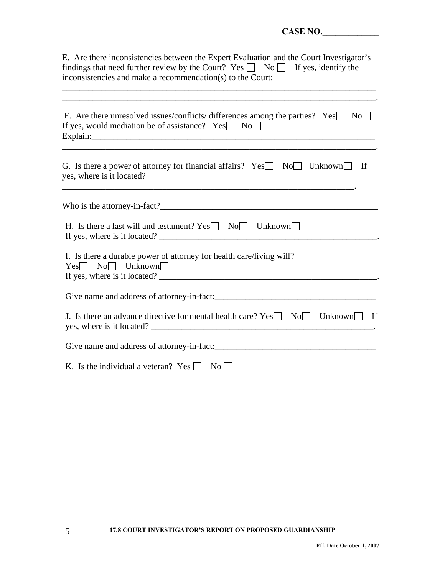| CASE NO.                                                                                                                                                                                                                                           |
|----------------------------------------------------------------------------------------------------------------------------------------------------------------------------------------------------------------------------------------------------|
| E. Are there inconsistencies between the Expert Evaluation and the Court Investigator's<br>findings that need further review by the Court? Yes $\Box$ No $\Box$ If yes, identify the<br>inconsistencies and make a recommendation(s) to the Court: |
| F. Are there unresolved issues/conflicts/ differences among the parties? Yes $\Box$ No<br>If yes, would mediation be of assistance? $Yes \Box No \Box$<br>Explain: explain:                                                                        |
| G. Is there a power of attorney for financial affairs? $Yes \Box No \Box Unknown \Box If$<br>yes, where is it located?                                                                                                                             |
|                                                                                                                                                                                                                                                    |
| H. Is there a last will and testament? Yes No Unknown<br>If yes, where is it located?                                                                                                                                                              |
| I. Is there a durable power of attorney for health care/living will?<br>$Yes \Box No \Box Unknown \Box$<br>If yes, where is it located?                                                                                                            |
|                                                                                                                                                                                                                                                    |
| J. Is there an advance directive for mental health care? $Yes \Box No \Box Unknown \Box If$                                                                                                                                                        |
|                                                                                                                                                                                                                                                    |
| K. Is the individual a veteran? Yes<br>$\overline{N_{0}}$                                                                                                                                                                                          |

5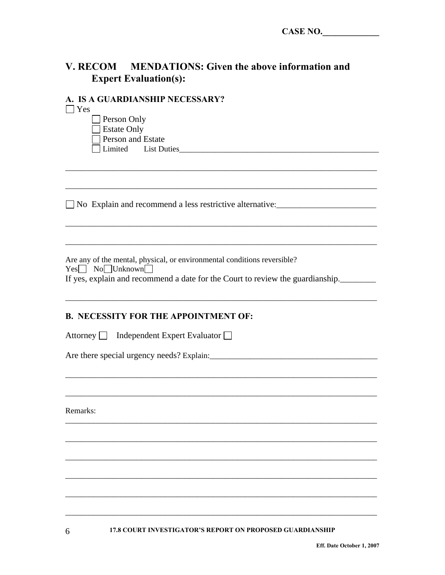# V. RECOM MENDATIONS: Given the above information and **Expert Evaluation(s):**

## **A IS A CHARDIANSHIP NECESSARV?**

| э д долкрилиянн ирсеяякт.<br>$\vert$ Yes                                       |
|--------------------------------------------------------------------------------|
| Person Only                                                                    |
| <b>Estate Only</b>                                                             |
| Person and Estate                                                              |
|                                                                                |
|                                                                                |
|                                                                                |
|                                                                                |
| No Explain and recommend a less restrictive alternative:                       |
|                                                                                |
|                                                                                |
| Are any of the mental, physical, or environmental conditions reversible?       |
| $Yes \tNo \tUn$ known                                                          |
| If yes, explain and recommend a date for the Court to review the guardianship. |
|                                                                                |
|                                                                                |
| <b>B. NECESSITY FOR THE APPOINTMENT OF:</b>                                    |
|                                                                                |
| Attorney $\Box$ Independent Expert Evaluator $\Box$                            |
|                                                                                |
|                                                                                |
|                                                                                |
|                                                                                |
| Remarks:                                                                       |
|                                                                                |
|                                                                                |
|                                                                                |
|                                                                                |
|                                                                                |
|                                                                                |
|                                                                                |